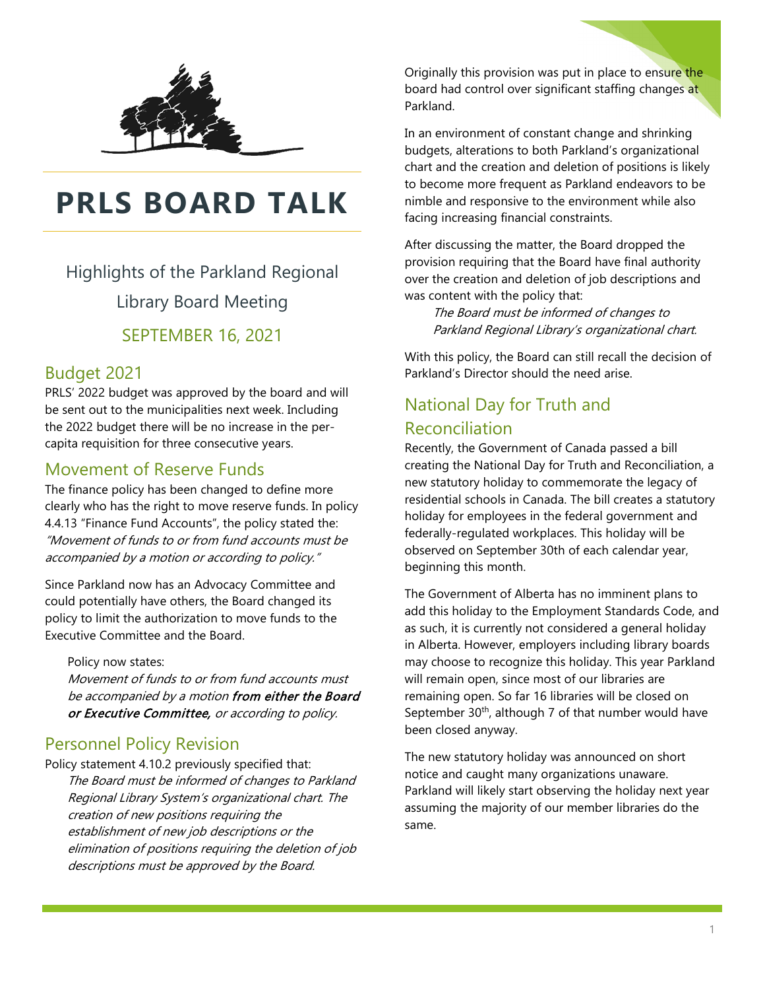

# **PRLS BOARD TALK**

Highlights of the Parkland Regional Library Board Meeting

SEPTEMBER 16, 2021

# Budget 2021

PRLS' 2022 budget was approved by the board and will be sent out to the municipalities next week. Including the 2022 budget there will be no increase in the percapita requisition for three consecutive years.

# Movement of Reserve Funds

The finance policy has been changed to define more clearly who has the right to move reserve funds. In policy 4.4.13 "Finance Fund Accounts", the policy stated the: "Movement of funds to or from fund accounts must be accompanied by a motion or according to policy."

Since Parkland now has an Advocacy Committee and could potentially have others, the Board changed its policy to limit the authorization to move funds to the Executive Committee and the Board.

Policy now states:

Movement of funds to or from fund accounts must be accompanied by a motion from either the Board or Executive Committee, or according to policy.

# Personnel Policy Revision

Policy statement 4.10.2 previously specified that: The Board must be informed of changes to Parkland Regional Library System's organizational chart. The creation of new positions requiring the establishment of new job descriptions or the elimination of positions requiring the deletion of job descriptions must be approved by the Board.

Originally this provision was put in place to ensure the board had control over significant staffing changes at Parkland.

In an environment of constant change and shrinking budgets, alterations to both Parkland's organizational chart and the creation and deletion of positions is likely to become more frequent as Parkland endeavors to be nimble and responsive to the environment while also facing increasing financial constraints.

After discussing the matter, the Board dropped the provision requiring that the Board have final authority over the creation and deletion of job descriptions and was content with the policy that:

The Board must be informed of changes to Parkland Regional Library's organizational chart.

With this policy, the Board can still recall the decision of Parkland's Director should the need arise.

# National Day for Truth and Reconciliation

Recently, the Government of Canada passed a bill creating the National Day for Truth and Reconciliation, a new statutory holiday to commemorate the legacy of residential schools in Canada. The bill creates a statutory holiday for employees in the federal government and federally-regulated workplaces. This holiday will be observed on September 30th of each calendar year, beginning this month.

The Government of Alberta has no imminent plans to add this holiday to the Employment Standards Code, and as such, it is currently not considered a general holiday in Alberta. However, employers including library boards may choose to recognize this holiday. This year Parkland will remain open, since most of our libraries are remaining open. So far 16 libraries will be closed on September  $30<sup>th</sup>$ , although 7 of that number would have been closed anyway.

The new statutory holiday was announced on short notice and caught many organizations unaware. Parkland will likely start observing the holiday next year assuming the majority of our member libraries do the same.